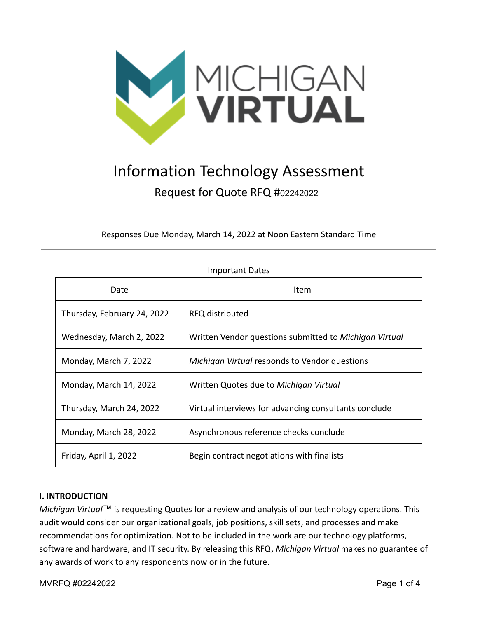

# Information Technology Assessment Request for Quote RFQ #<sup>02242022</sup>

Responses Due Monday, March 14, 2022 at Noon Eastern Standard Time

| Date                        | Item                                                   |
|-----------------------------|--------------------------------------------------------|
| Thursday, February 24, 2022 | RFQ distributed                                        |
| Wednesday, March 2, 2022    | Written Vendor questions submitted to Michigan Virtual |
| Monday, March 7, 2022       | Michigan Virtual responds to Vendor questions          |
| Monday, March 14, 2022      | Written Quotes due to Michigan Virtual                 |
| Thursday, March 24, 2022    | Virtual interviews for advancing consultants conclude  |
| Monday, March 28, 2022      | Asynchronous reference checks conclude                 |
| Friday, April 1, 2022       | Begin contract negotiations with finalists             |

## Important Dates

#### **I. INTRODUCTION**

*Michigan Virtual*™ is requesting Quotes for a review and analysis of our technology operations. This audit would consider our organizational goals, job positions, skill sets, and processes and make recommendations for optimization. Not to be included in the work are our technology platforms, software and hardware, and IT security. By releasing this RFQ, *Michigan Virtual* makes no guarantee of any awards of work to any respondents now or in the future.

MVRFQ #02242022 Page 1 of 4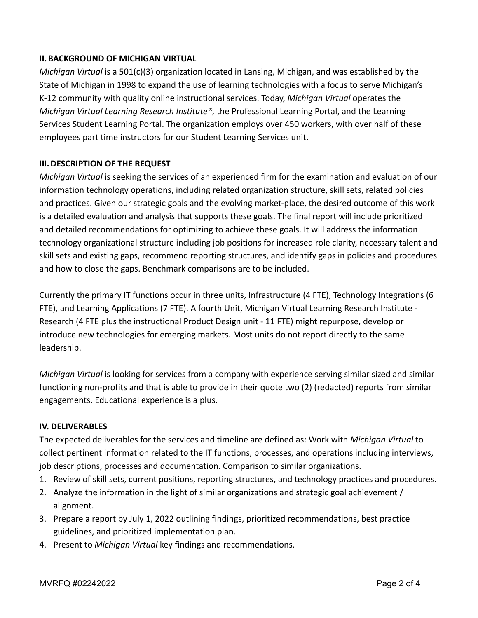## **II.BACKGROUND OF MICHIGAN VIRTUAL**

*Michigan Virtual* is a 501(c)(3) organization located in Lansing, Michigan, and was established by the State of Michigan in 1998 to expand the use of learning technologies with a focus to serve Michigan's K-12 community with quality online instructional services. Today, *Michigan Virtual* operates the *Michigan Virtual Learning Research Institute®,* the Professional Learning Portal, and the Learning Services Student Learning Portal. The organization employs over 450 workers, with over half of these employees part time instructors for our Student Learning Services unit.

## **III.DESCRIPTION OF THE REQUEST**

*Michigan Virtual* is seeking the services of an experienced firm for the examination and evaluation of our information technology operations, including related organization structure, skill sets, related policies and practices. Given our strategic goals and the evolving market-place, the desired outcome of this work is a detailed evaluation and analysis that supports these goals. The final report will include prioritized and detailed recommendations for optimizing to achieve these goals. It will address the information technology organizational structure including job positions for increased role clarity, necessary talent and skill sets and existing gaps, recommend reporting structures, and identify gaps in policies and procedures and how to close the gaps. Benchmark comparisons are to be included.

Currently the primary IT functions occur in three units, Infrastructure (4 FTE), Technology Integrations (6 FTE), and Learning Applications (7 FTE). A fourth Unit, Michigan Virtual Learning Research Institute - Research (4 FTE plus the instructional Product Design unit - 11 FTE) might repurpose, develop or introduce new technologies for emerging markets. Most units do not report directly to the same leadership.

*Michigan Virtual* is looking for services from a company with experience serving similar sized and similar functioning non-profits and that is able to provide in their quote two (2) (redacted) reports from similar engagements. Educational experience is a plus.

#### **IV. DELIVERABLES**

The expected deliverables for the services and timeline are defined as: Work with *Michigan Virtual* to collect pertinent information related to the IT functions, processes, and operations including interviews, job descriptions, processes and documentation. Comparison to similar organizations.

- 1. Review of skill sets, current positions, reporting structures, and technology practices and procedures.
- 2. Analyze the information in the light of similar organizations and strategic goal achievement / alignment.
- 3. Prepare a report by July 1, 2022 outlining findings, prioritized recommendations, best practice guidelines, and prioritized implementation plan.
- 4. Present to *Michigan Virtual* key findings and recommendations.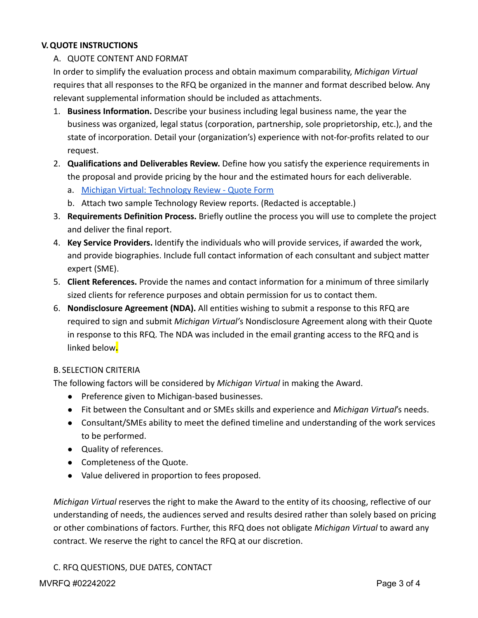## **V.QUOTE INSTRUCTIONS**

## A. QUOTE CONTENT AND FORMAT

In order to simplify the evaluation process and obtain maximum comparability, *Michigan Virtual* requires that all responses to the RFQ be organized in the manner and format described below. Any relevant supplemental information should be included as attachments.

- 1. **Business Information.** Describe your business including legal business name, the year the business was organized, legal status (corporation, partnership, sole proprietorship, etc.), and the state of incorporation. Detail your (organization's) experience with not-for-profits related to our request.
- 2. **Qualifications and Deliverables Review.** Define how you satisfy the experience requirements in the proposal and provide pricing by the hour and the estimated hours for each deliverable.
	- a. [Michigan Virtual: Technology Review Quote Form](https://docs.google.com/spreadsheets/d/1fO6zoZcBerlEBQCILDXrbGiXdu3vgI2e6SBUa7JOalw/edit?usp=sharing)
	- b. Attach two sample Technology Review reports. (Redacted is acceptable.)
- 3. **Requirements Definition Process.** Briefly outline the process you will use to complete the project and deliver the final report.
- 4. **Key Service Providers.** Identify the individuals who will provide services, if awarded the work, and provide biographies. Include full contact information of each consultant and subject matter expert (SME).
- 5. **Client References.** Provide the names and contact information for a minimum of three similarly sized clients for reference purposes and obtain permission for us to contact them.
- 6. **Nondisclosure Agreement (NDA).** All entities wishing to submit a response to this RFQ are required to sign and submit *Michigan Virtual'*s Nondisclosure Agreement along with their Quote in response to this RFQ. The NDA was included in the email granting access to the RFQ and is linked below**.**

#### B. SELECTION CRITERIA

The following factors will be considered by *Michigan Virtual* in making the Award.

- Preference given to Michigan-based businesses.
- Fit between the Consultant and or SMEs skills and experience and *Michigan Virtual*'s needs.
- Consultant/SMEs ability to meet the defined timeline and understanding of the work services to be performed.
- Quality of references.
- Completeness of the Quote.
- Value delivered in proportion to fees proposed.

*Michigan Virtual* reserves the right to make the Award to the entity of its choosing, reflective of our understanding of needs, the audiences served and results desired rather than solely based on pricing or other combinations of factors. Further, this RFQ does not obligate *Michigan Virtual* to award any contract. We reserve the right to cancel the RFQ at our discretion.

C. RFQ QUESTIONS, DUE DATES, CONTACT